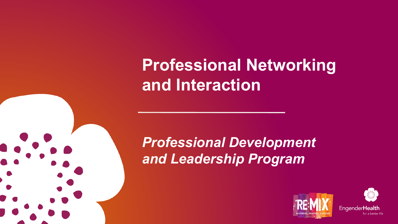# **Professional Networking and Interaction**

*Professional Development and Leadership Program*





Engender**Health** for a better life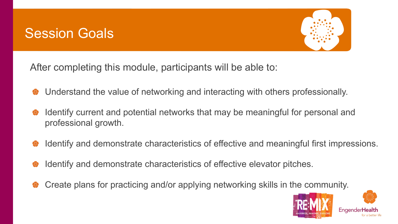### Session Goals



After completing this module, participants will be able to:

- Understand the value of networking and interacting with others professionally.
- Identify current and potential networks that may be meaningful for personal and professional growth.
- Identify and demonstrate characteristics of effective and meaningful first impressions.
- Identify and demonstrate characteristics of effective elevator pitches.
- Create plans for practicing and/or applying networking skills in the community.

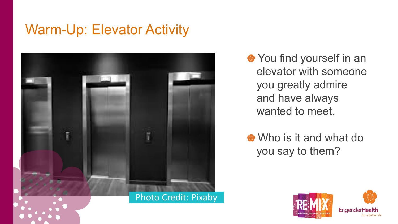### Warm-Up: Elevator Activity



**•** You find yourself in an elevator with someone you greatly admire and have always wanted to meet.

Who is it and what do you say to them?

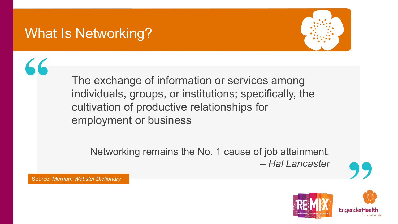### What Is Networking?



The exchange of information or services among individuals, groups, or institutions; specifically, the cultivation of productive relationships for employment or business

Networking remains the No. 1 cause of job attainment*.* 



Source: *Merriam Webster Dictionary*

**"**

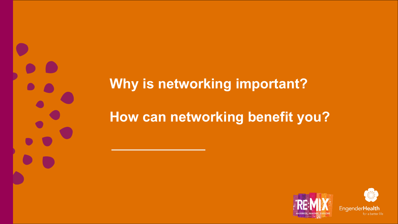### **Why is networking important?**

### **How can networking benefit you?**

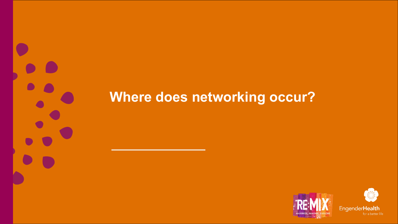### **Where does networking occur?**



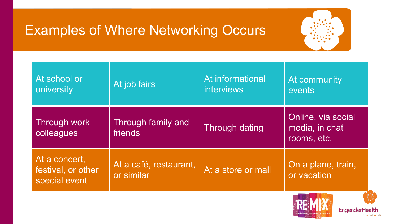### Examples of Where Networking Occurs



| At school or<br>university                           | At job fairs                         | At informational<br><b>interviews</b> | At community<br>events                              |
|------------------------------------------------------|--------------------------------------|---------------------------------------|-----------------------------------------------------|
| Through work<br>colleagues                           | <b>Through family and</b><br>friends | Through dating                        | Online, via social<br>media, in chat<br>rooms, etc. |
| At a concert,<br>festival, or other<br>special event | At a café, restaurant,<br>or similar | At a store or mall                    | On a plane, train,<br>or vacation                   |





for a better life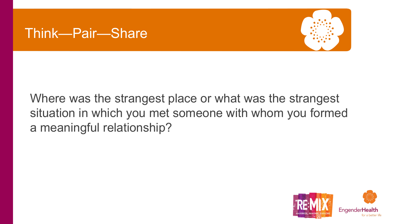### Think—Pair—Share



Where was the strangest place or what was the strangest situation in which you met someone with whom you formed a meaningful relationship?

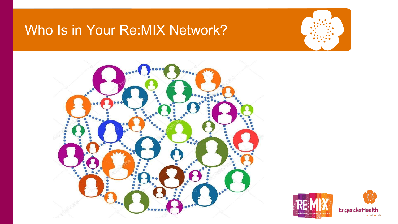### Who Is in Your Re:MIX Network?





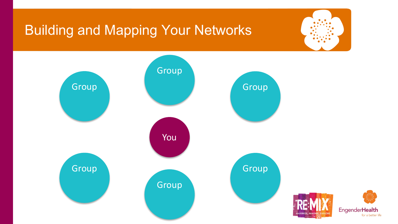### Building and Mapping Your Networks



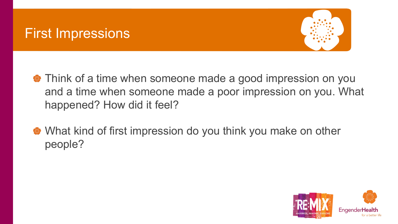### First Impressions



- Think of a time when someone made a good impression on you and a time when someone made a poor impression on you. What happened? How did it feel?
- What kind of first impression do you think you make on other people?

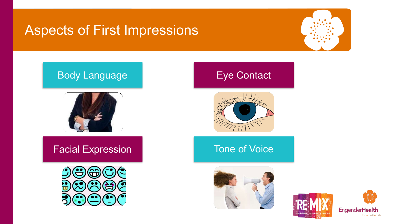### Aspects of First Impressions



### Body Language **Eye Contact**



Facial Expression **The Cone of Voice** Facial Expression











for a better life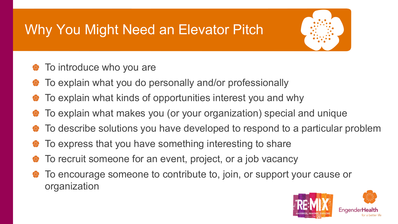### Why You Might Need an Elevator Pitch



- **•** To introduce who you are
- To explain what you do personally and/or professionally
- To explain what kinds of opportunities interest you and why
- To explain what makes you (or your organization) special and unique
- To describe solutions you have developed to respond to a particular problem
- To express that you have something interesting to share
- To recruit someone for an event, project, or a job vacancy
- To encourage someone to contribute to, join, or support your cause or organization

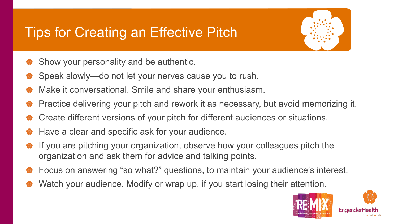### Tips for Creating an Effective Pitch



- Show your personality and be authentic.
- Speak slowly—do not let your nerves cause you to rush.
- Make it conversational. Smile and share your enthusiasm.
- Practice delivering your pitch and rework it as necessary, but avoid memorizing it.
- Create different versions of your pitch for different audiences or situations.
- Have a clear and specific ask for your audience.
- If you are pitching your organization, observe how your colleagues pitch the organization and ask them for advice and talking points.
- Focus on answering "so what?" questions, to maintain your audience's interest.
- Watch your audience. Modify or wrap up, if you start losing their attention.

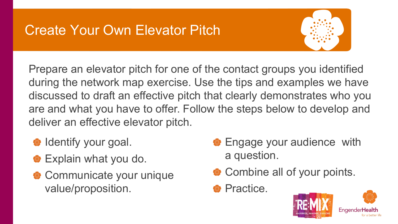### Create Your Own Elevator Pitch



Prepare an elevator pitch for one of the contact groups you identified during the network map exercise. Use the tips and examples we have discussed to draft an effective pitch that clearly demonstrates who you are and what you have to offer. Follow the steps below to develop and deliver an effective elevator pitch.

- **Identify your goal.**
- **Explain what you do.**
- **Communicate your unique** value/proposition.
- **B** Engage your audience with a question.
- Combine all of your points.

**<sup>●</sup>** Practice.

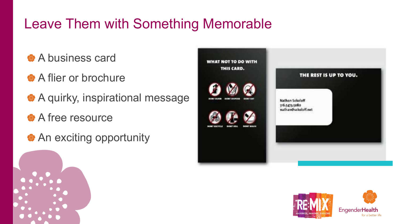## Leave Them with Something Memorable

- A business card
- A flier or brochure
- **A** quirky, inspirational message
- A free resource
- **An exciting opportunity**





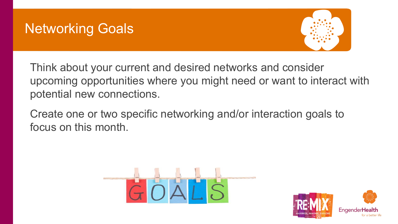### Networking Goals



Think about your current and desired networks and consider upcoming opportunities where you might need or want to interact with potential new connections.

Create one or two specific networking and/or interaction goals to focus on this month.



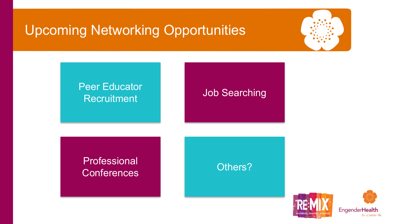### Upcoming Networking Opportunities





**Professional** Conferences Conferences





**EngenderHealth** for a better life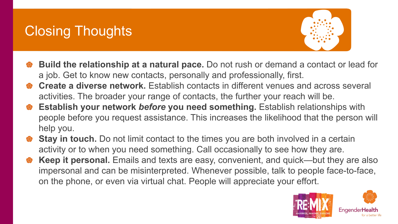### Closing Thoughts



- **Build the relationship at a natural pace.** Do not rush or demand a contact or lead for a job. Get to know new contacts, personally and professionally, first.
- **Create a diverse network.** Establish contacts in different venues and across several activities. The broader your range of contacts, the further your reach will be.
- **Establish your network** *before* **you need something.** Establish relationships with people before you request assistance. This increases the likelihood that the person will help you.
- **Stay in touch.** Do not limit contact to the times you are both involved in a certain activity or to when you need something. Call occasionally to see how they are.
- **Keep it personal.** Emails and texts are easy, convenient, and quick—but they are also impersonal and can be misinterpreted. Whenever possible, talk to people face-to-face, on the phone, or even via virtual chat. People will appreciate your effort.